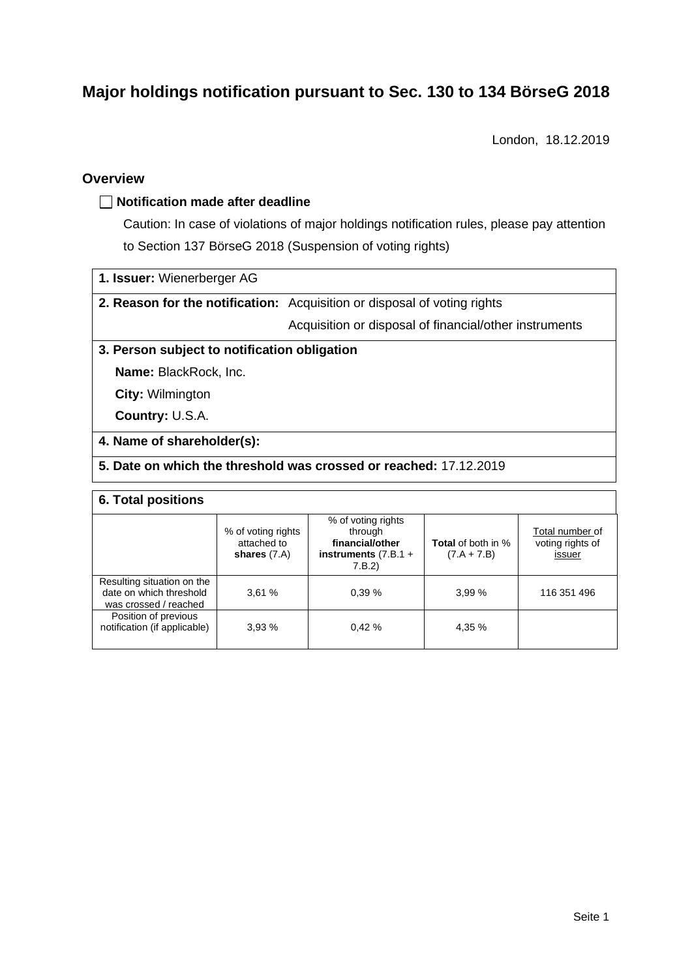# **Major holdings notification pursuant to Sec. 130 to 134 BörseG 2018**

London, 18.12.2019

### **Overview**

### **Notification made after deadline**

Caution: In case of violations of major holdings notification rules, please pay attention to Section 137 BörseG 2018 (Suspension of voting rights)

- **1. Issuer:** Wienerberger AG
- **2. Reason for the notification:** Acquisition or disposal of voting rights

Acquisition or disposal of financial/other instruments

### **3. Person subject to notification obligation**

**Name:** BlackRock, Inc.

**City:** Wilmington

**Country:** U.S.A.

#### **4. Name of shareholder(s):**

### **5. Date on which the threshold was crossed or reached:** 17.12.2019

#### **6. Total positions**

|                                                                                | % of voting rights<br>attached to<br>shares $(7.A)$ | % of voting rights<br>through<br>financial/other<br>instruments $(7.B.1 +$<br>7.B.2 | <b>Total</b> of both in %<br>$(7.A + 7.B)$ | Total number of<br>voting rights of<br>issuer |
|--------------------------------------------------------------------------------|-----------------------------------------------------|-------------------------------------------------------------------------------------|--------------------------------------------|-----------------------------------------------|
| Resulting situation on the<br>date on which threshold<br>was crossed / reached | 3.61%                                               | 0.39%                                                                               | 3.99%                                      | 116 351 496                                   |
| Position of previous<br>notification (if applicable)                           | 3.93%                                               | 0.42%                                                                               | 4.35 %                                     |                                               |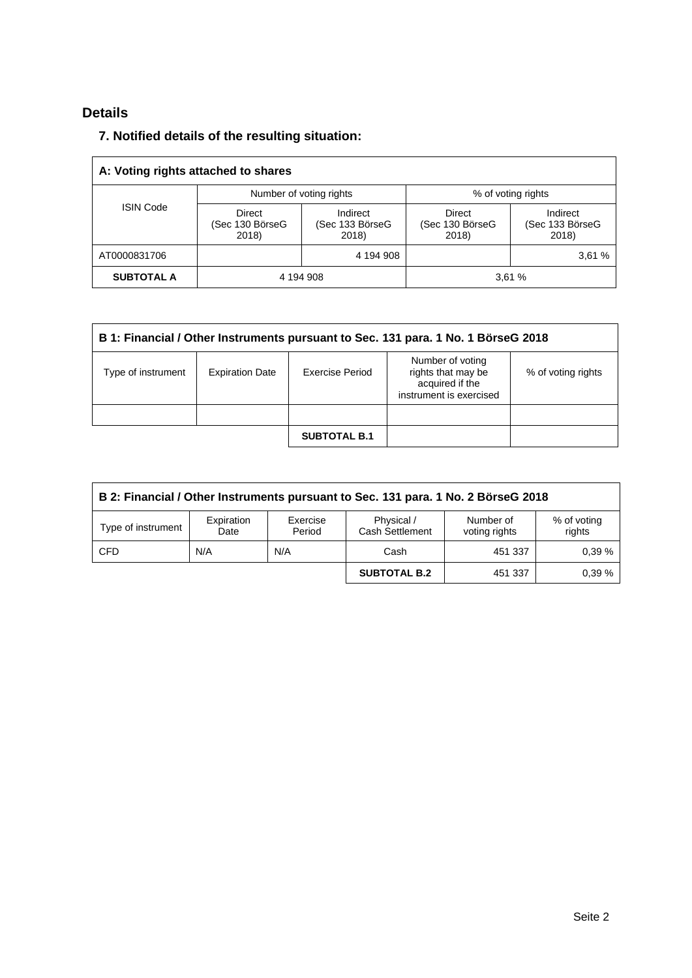# **Details**

# **7. Notified details of the resulting situation:**

| A: Voting rights attached to shares |                                    |                                      |                                    |                                      |  |  |
|-------------------------------------|------------------------------------|--------------------------------------|------------------------------------|--------------------------------------|--|--|
| <b>ISIN Code</b>                    |                                    | Number of voting rights              | % of voting rights                 |                                      |  |  |
|                                     | Direct<br>(Sec 130 BörseG<br>2018) | Indirect<br>(Sec 133 BörseG<br>2018) | Direct<br>(Sec 130 BörseG<br>2018) | Indirect<br>(Sec 133 BörseG<br>2018) |  |  |
| AT0000831706                        |                                    | 4 194 908                            |                                    | 3,61%                                |  |  |
| <b>SUBTOTAL A</b>                   | 4 194 908                          |                                      | 3,61%                              |                                      |  |  |

| B 1: Financial / Other Instruments pursuant to Sec. 131 para. 1 No. 1 BörseG 2018 |                        |                     |                                                                                      |                    |  |  |
|-----------------------------------------------------------------------------------|------------------------|---------------------|--------------------------------------------------------------------------------------|--------------------|--|--|
| Type of instrument                                                                | <b>Expiration Date</b> | Exercise Period     | Number of voting<br>rights that may be<br>acquired if the<br>instrument is exercised | % of voting rights |  |  |
|                                                                                   |                        |                     |                                                                                      |                    |  |  |
|                                                                                   |                        | <b>SUBTOTAL B.1</b> |                                                                                      |                    |  |  |

| B 2: Financial / Other Instruments pursuant to Sec. 131 para. 1 No. 2 BörseG 2018 |                    |                    |                               |                            |                       |  |
|-----------------------------------------------------------------------------------|--------------------|--------------------|-------------------------------|----------------------------|-----------------------|--|
| Type of instrument                                                                | Expiration<br>Date | Exercise<br>Period | Physical /<br>Cash Settlement | Number of<br>voting rights | % of voting<br>rights |  |
| <b>CFD</b>                                                                        | N/A                | N/A                | Cash                          | 451 337                    | 0.39%                 |  |
|                                                                                   |                    |                    | <b>SUBTOTAL B.2</b>           | 451 337                    | 0.39%                 |  |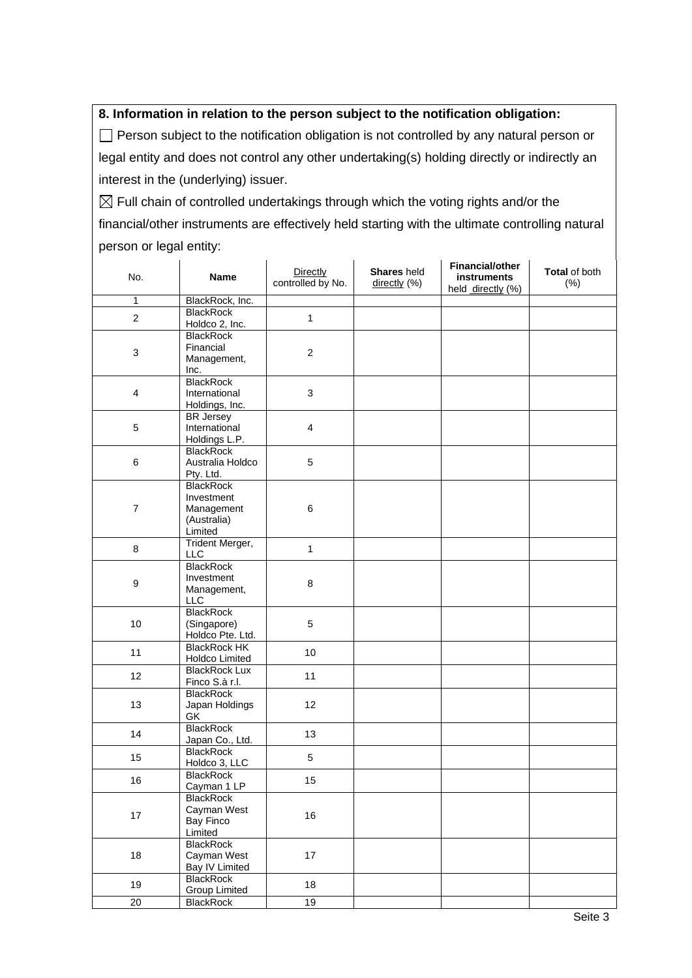## **8. Information in relation to the person subject to the notification obligation:**

 $\Box$  Person subject to the notification obligation is not controlled by any natural person or legal entity and does not control any other undertaking(s) holding directly or indirectly an interest in the (underlying) issuer.

 $\boxtimes$  Full chain of controlled undertakings through which the voting rights and/or the financial/other instruments are effectively held starting with the ultimate controlling natural person or legal entity:

| No.                     | <b>Name</b>                             | Directly<br>controlled by No. | Shares held<br>directly (%) | <b>Financial/other</b><br>instruments<br>held directly (%) | Total of both<br>(% ) |
|-------------------------|-----------------------------------------|-------------------------------|-----------------------------|------------------------------------------------------------|-----------------------|
| $\mathbf{1}$            | BlackRock, Inc.                         |                               |                             |                                                            |                       |
| $\mathbf{2}$            | <b>BlackRock</b>                        | $\mathbf{1}$                  |                             |                                                            |                       |
|                         | Holdco 2, Inc.                          |                               |                             |                                                            |                       |
|                         | <b>BlackRock</b>                        |                               |                             |                                                            |                       |
| 3                       | Financial                               | $\overline{c}$                |                             |                                                            |                       |
|                         | Management,                             |                               |                             |                                                            |                       |
|                         | Inc.                                    |                               |                             |                                                            |                       |
|                         | <b>BlackRock</b>                        |                               |                             |                                                            |                       |
| $\overline{\mathbf{4}}$ | International                           | 3                             |                             |                                                            |                       |
|                         | Holdings, Inc.                          |                               |                             |                                                            |                       |
|                         | <b>BR</b> Jersey                        |                               |                             |                                                            |                       |
| 5                       | International                           | $\overline{\mathbf{4}}$       |                             |                                                            |                       |
|                         | Holdings L.P.<br><b>BlackRock</b>       |                               |                             |                                                            |                       |
| $\,6$                   | Australia Holdco                        | 5                             |                             |                                                            |                       |
|                         | Pty. Ltd.                               |                               |                             |                                                            |                       |
|                         | <b>BlackRock</b>                        |                               |                             |                                                            |                       |
|                         | Investment                              |                               |                             |                                                            |                       |
| $\overline{7}$          | Management                              | $\,6$                         |                             |                                                            |                       |
|                         | (Australia)                             |                               |                             |                                                            |                       |
|                         | Limited                                 |                               |                             |                                                            |                       |
|                         | Trident Merger,                         |                               |                             |                                                            |                       |
| 8                       | LLC                                     | 1                             |                             |                                                            |                       |
|                         | <b>BlackRock</b>                        | 8                             |                             |                                                            |                       |
| $\boldsymbol{9}$        | Investment                              |                               |                             |                                                            |                       |
|                         | Management,                             |                               |                             |                                                            |                       |
|                         | <b>LLC</b>                              |                               |                             |                                                            |                       |
|                         | <b>BlackRock</b>                        |                               |                             |                                                            |                       |
| 10                      | (Singapore)                             | 5                             |                             |                                                            |                       |
|                         | Holdco Pte. Ltd.<br><b>BlackRock HK</b> |                               |                             |                                                            |                       |
| 11                      | Holdco Limited                          | 10                            |                             |                                                            |                       |
|                         | <b>BlackRock Lux</b>                    |                               |                             |                                                            |                       |
| 12                      | Finco S.à r.l.                          | 11                            |                             |                                                            |                       |
|                         | <b>BlackRock</b>                        |                               |                             |                                                            |                       |
| 13                      | Japan Holdings                          | 12                            |                             |                                                            |                       |
|                         | GK                                      |                               |                             |                                                            |                       |
| 14                      | <b>BlackRock</b>                        |                               |                             |                                                            |                       |
|                         | Japan Co., Ltd.                         | 13                            |                             |                                                            |                       |
| 15                      | <b>BlackRock</b>                        | 5                             |                             |                                                            |                       |
|                         | Holdco 3, LLC                           |                               |                             |                                                            |                       |
| 16                      | <b>BlackRock</b>                        | 15                            |                             |                                                            |                       |
|                         | Cayman 1 LP                             |                               |                             |                                                            |                       |
| $17\,$                  | <b>BlackRock</b>                        |                               |                             |                                                            |                       |
|                         | Cayman West                             | 16                            |                             |                                                            |                       |
|                         | <b>Bay Finco</b><br>Limited             |                               |                             |                                                            |                       |
|                         | <b>BlackRock</b>                        |                               |                             |                                                            |                       |
| 18                      | Cayman West                             | 17                            |                             |                                                            |                       |
|                         | Bay IV Limited                          |                               |                             |                                                            |                       |
|                         | <b>BlackRock</b>                        |                               |                             |                                                            |                       |
| 19                      | <b>Group Limited</b>                    | 18                            |                             |                                                            |                       |
| 20                      | <b>BlackRock</b>                        | $\overline{19}$               |                             |                                                            |                       |
|                         |                                         |                               |                             |                                                            |                       |